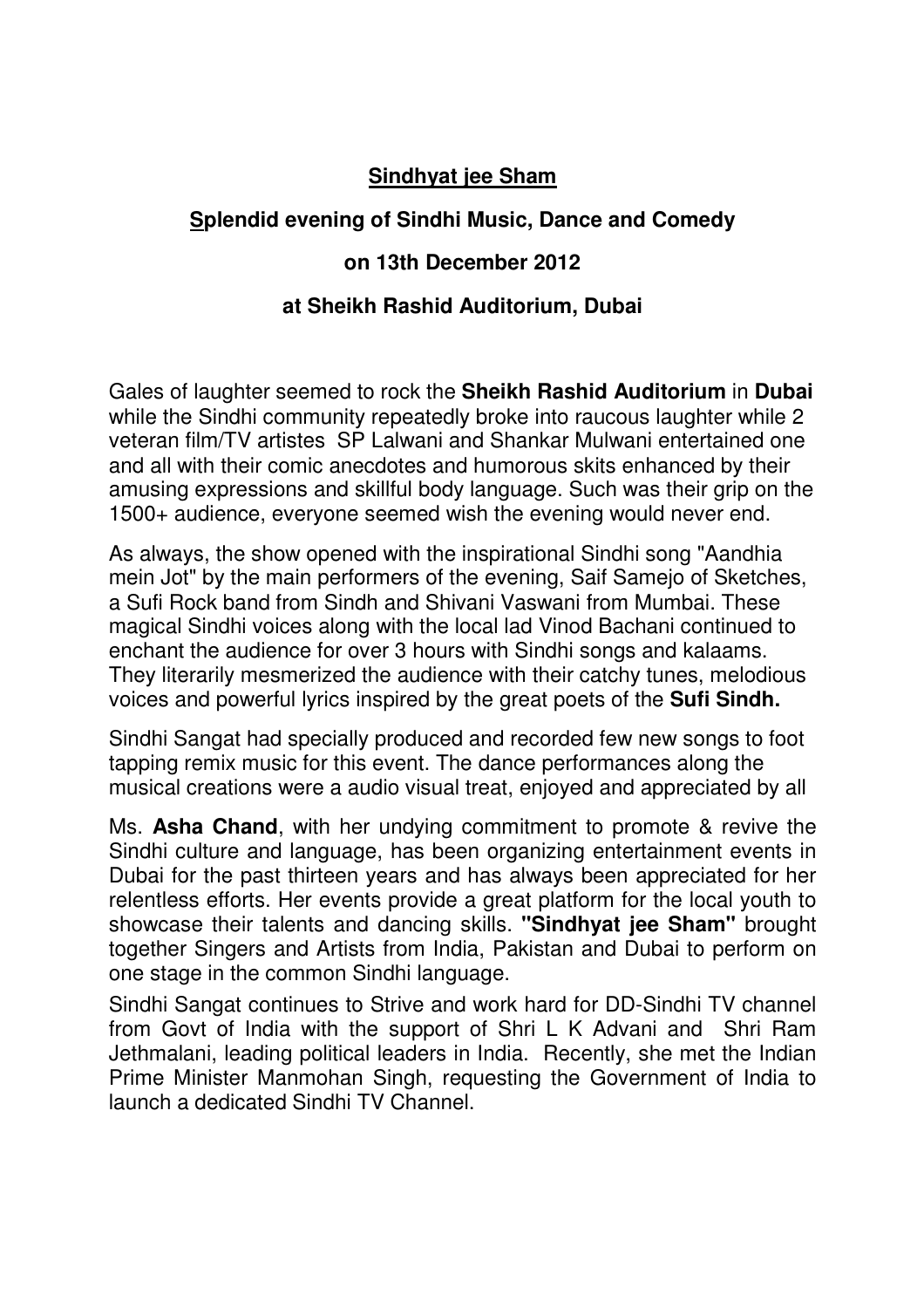## **Sindhyat jee Sham**

## **Splendid evening of Sindhi Music, Dance and Comedy**

## **on 13th December 2012**

## **at Sheikh Rashid Auditorium, Dubai**

Gales of laughter seemed to rock the **Sheikh Rashid Auditorium** in **Dubai** while the Sindhi community repeatedly broke into raucous laughter while 2 veteran film/TV artistes SP Lalwani and Shankar Mulwani entertained one and all with their comic anecdotes and humorous skits enhanced by their amusing expressions and skillful body language. Such was their grip on the 1500+ audience, everyone seemed wish the evening would never end.

As always, the show opened with the inspirational Sindhi song "Aandhia mein Jot" by the main performers of the evening, Saif Samejo of Sketches, a Sufi Rock band from Sindh and Shivani Vaswani from Mumbai. These magical Sindhi voices along with the local lad Vinod Bachani continued to enchant the audience for over 3 hours with Sindhi songs and kalaams. They literarily mesmerized the audience with their catchy tunes, melodious voices and powerful lyrics inspired by the great poets of the **Sufi Sindh.**

Sindhi Sangat had specially produced and recorded few new songs to foot tapping remix music for this event. The dance performances along the musical creations were a audio visual treat, enjoyed and appreciated by all

Ms. **Asha Chand**, with her undying commitment to promote & revive the Sindhi culture and language, has been organizing entertainment events in Dubai for the past thirteen years and has always been appreciated for her relentless efforts. Her events provide a great platform for the local youth to showcase their talents and dancing skills. **"Sindhyat jee Sham"** brought together Singers and Artists from India, Pakistan and Dubai to perform on one stage in the common Sindhi language.

Sindhi Sangat continues to Strive and work hard for DD-Sindhi TV channel from Govt of India with the support of Shri L K Advani and Shri Ram Jethmalani, leading political leaders in India. Recently, she met the Indian Prime Minister Manmohan Singh, requesting the Government of India to launch a dedicated Sindhi TV Channel.